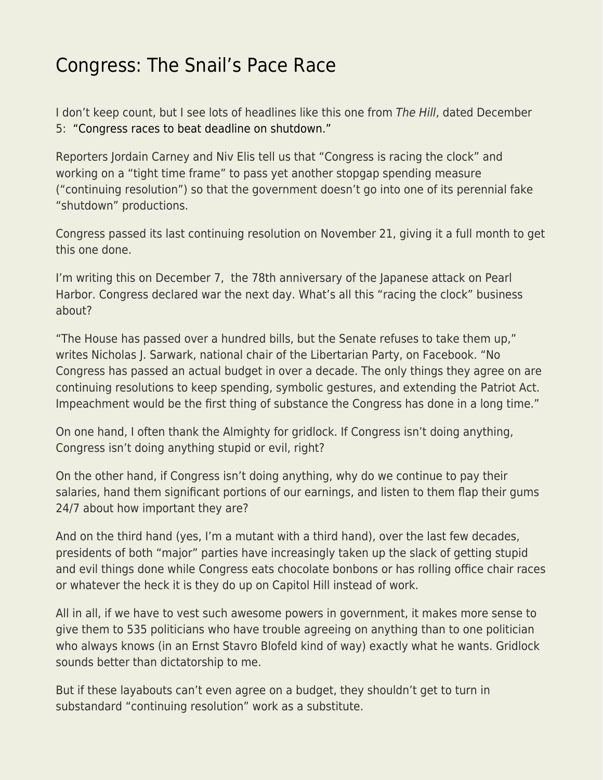## [Congress: The Snail's Pace Race](https://everything-voluntary.com/congress-the-snails-pace-race)

I don't keep count, but I see lots of headlines like this one from The Hill, dated December 5: ["Congress races to beat deadline on shutdown."](https://thehill.com/policy/finance/473116-congress-races-to-beat-deadline-on-shutdown)

Reporters Jordain Carney and Niv Elis tell us that "Congress is racing the clock" and working on a "tight time frame" to pass yet another stopgap spending measure ("continuing resolution") so that the government doesn't go into one of its perennial fake "shutdown" productions.

Congress passed its last continuing resolution on November 21, giving it a full month to get this one done.

I'm writing this on December 7, the 78th anniversary of the Japanese attack on Pearl Harbor. Congress declared war the next day. What's all this "racing the clock" business about?

"The House has passed over a hundred bills, but the Senate refuses to take them up," writes Nicholas J. Sarwark, national chair of the Libertarian Party, on Facebook. "No Congress has passed an actual budget in over a decade. The only things they agree on are continuing resolutions to keep spending, symbolic gestures, and extending the Patriot Act. Impeachment would be the first thing of substance the Congress has done in a long time."

On one hand, I often thank the Almighty for gridlock. If Congress isn't doing anything, Congress isn't doing anything stupid or evil, right?

On the other hand, if Congress isn't doing anything, why do we continue to pay their salaries, hand them significant portions of our earnings, and listen to them flap their gums 24/7 about how important they are?

And on the third hand (yes, I'm a mutant with a third hand), over the last few decades, presidents of both "major" parties have increasingly taken up the slack of getting stupid and evil things done while Congress eats chocolate bonbons or has rolling office chair races or whatever the heck it is they do up on Capitol Hill instead of work.

All in all, if we have to vest such awesome powers in government, it makes more sense to give them to 535 politicians who have trouble agreeing on anything than to one politician who always knows (in an Ernst Stavro Blofeld kind of way) exactly what he wants. Gridlock sounds better than dictatorship to me.

But if these layabouts can't even agree on a budget, they shouldn't get to turn in substandard "continuing resolution" work as a substitute.